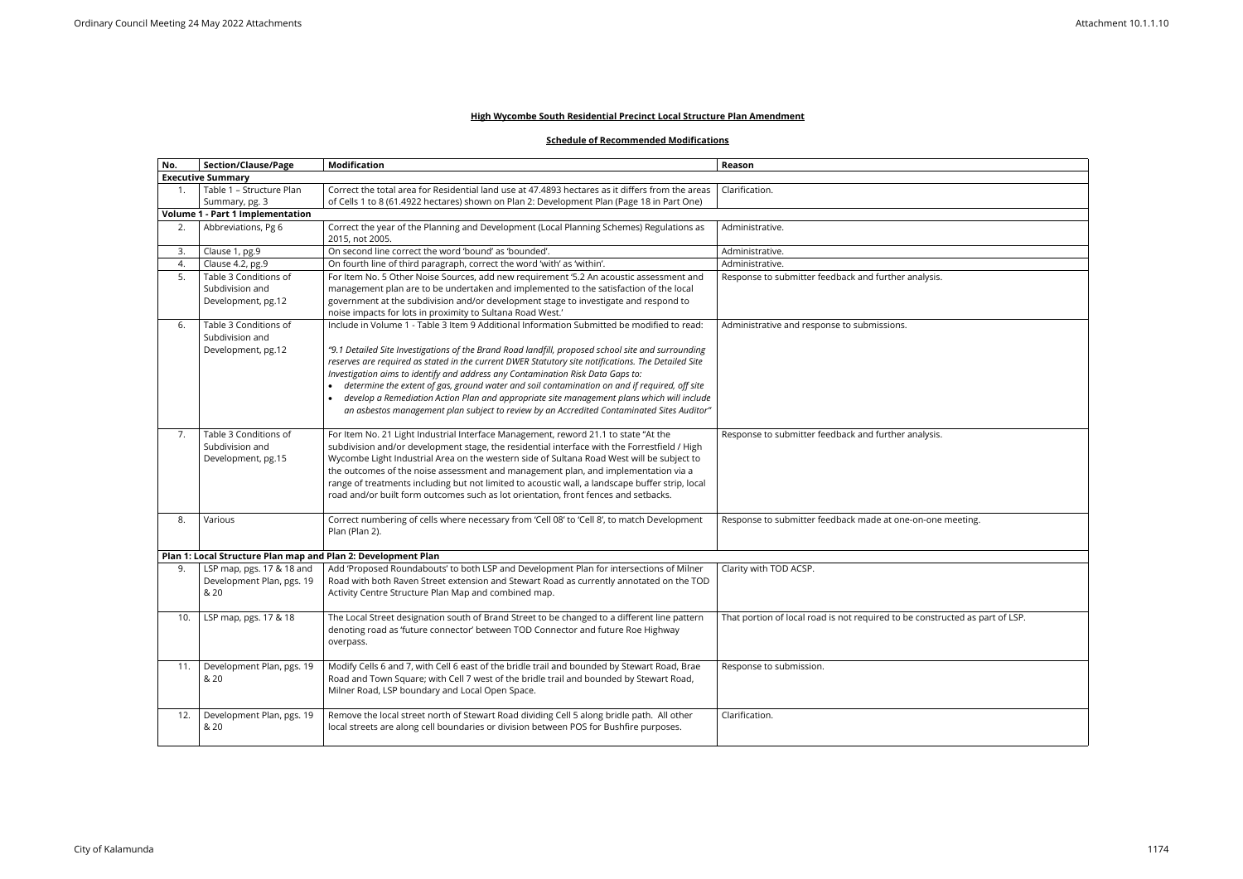## **High Wycombe South Residential Precinct Local Structure Plan Amendment**

## **Schedule of Recommended Modifications**

| No. | <b>Section/Clause/Page</b>                                    | <b>Modification</b>                                                                                                                                                              | Reason                                                                       |
|-----|---------------------------------------------------------------|----------------------------------------------------------------------------------------------------------------------------------------------------------------------------------|------------------------------------------------------------------------------|
|     | <b>Executive Summary</b>                                      |                                                                                                                                                                                  |                                                                              |
|     | Table 1 - Structure Plan                                      | Correct the total area for Residential land use at 47.4893 hectares as it differs from the areas                                                                                 | Clarification.                                                               |
|     | Summary, pg. 3                                                | of Cells 1 to 8 (61.4922 hectares) shown on Plan 2: Development Plan (Page 18 in Part One)                                                                                       |                                                                              |
|     | <b>Volume 1 - Part 1 Implementation</b>                       |                                                                                                                                                                                  |                                                                              |
| 2.  | Abbreviations, Pg 6                                           | Correct the year of the Planning and Development (Local Planning Schemes) Regulations as                                                                                         | Administrative.                                                              |
|     |                                                               | 2015, not 2005.                                                                                                                                                                  |                                                                              |
| 3.  | Clause 1, pg.9                                                | On second line correct the word 'bound' as 'bounded'.                                                                                                                            | Administrative.                                                              |
| 4.  | Clause 4.2, pg.9                                              | On fourth line of third paragraph, correct the word 'with' as 'within'.                                                                                                          | Administrative.                                                              |
| 5.  | Table 3 Conditions of                                         | For Item No. 5 Other Noise Sources, add new requirement '5.2 An acoustic assessment and                                                                                          | Response to submitter feedback and further analysis.                         |
|     | Subdivision and                                               | management plan are to be undertaken and implemented to the satisfaction of the local                                                                                            |                                                                              |
|     | Development, pg.12                                            | government at the subdivision and/or development stage to investigate and respond to                                                                                             |                                                                              |
|     |                                                               | noise impacts for lots in proximity to Sultana Road West.'                                                                                                                       |                                                                              |
| 6.  | Table 3 Conditions of                                         | Include in Volume 1 - Table 3 Item 9 Additional Information Submitted be modified to read:                                                                                       | Administrative and response to submissions.                                  |
|     | Subdivision and                                               |                                                                                                                                                                                  |                                                                              |
|     | Development, pg.12                                            | "9.1 Detailed Site Investigations of the Brand Road landfill, proposed school site and surrounding                                                                               |                                                                              |
|     |                                                               | reserves are required as stated in the current DWER Statutory site notifications. The Detailed Site                                                                              |                                                                              |
|     |                                                               | Investigation aims to identify and address any Contamination Risk Data Gaps to:<br>determine the extent of gas, ground water and soil contamination on and if required, off site |                                                                              |
|     |                                                               | develop a Remediation Action Plan and appropriate site management plans which will include                                                                                       |                                                                              |
|     |                                                               | an asbestos management plan subject to review by an Accredited Contaminated Sites Auditor"                                                                                       |                                                                              |
|     |                                                               |                                                                                                                                                                                  |                                                                              |
| 7.  | Table 3 Conditions of                                         | For Item No. 21 Light Industrial Interface Management, reword 21.1 to state "At the                                                                                              | Response to submitter feedback and further analysis.                         |
|     | Subdivision and                                               | subdivision and/or development stage, the residential interface with the Forrestfield / High                                                                                     |                                                                              |
|     | Development, pg.15                                            | Wycombe Light Industrial Area on the western side of Sultana Road West will be subject to                                                                                        |                                                                              |
|     |                                                               | the outcomes of the noise assessment and management plan, and implementation via a                                                                                               |                                                                              |
|     |                                                               | range of treatments including but not limited to acoustic wall, a landscape buffer strip, local                                                                                  |                                                                              |
|     |                                                               | road and/or built form outcomes such as lot orientation, front fences and setbacks.                                                                                              |                                                                              |
|     |                                                               |                                                                                                                                                                                  |                                                                              |
| 8.  | Various                                                       | Correct numbering of cells where necessary from 'Cell 08' to 'Cell 8', to match Development                                                                                      | Response to submitter feedback made at one-on-one meeting.                   |
|     |                                                               | Plan (Plan 2).                                                                                                                                                                   |                                                                              |
|     |                                                               |                                                                                                                                                                                  |                                                                              |
|     | Plan 1: Local Structure Plan map and Plan 2: Development Plan |                                                                                                                                                                                  |                                                                              |
| 9.  | LSP map, pgs. 17 & 18 and                                     | Add 'Proposed Roundabouts' to both LSP and Development Plan for intersections of Milner                                                                                          | Clarity with TOD ACSP.                                                       |
|     | Development Plan, pgs. 19                                     | Road with both Raven Street extension and Stewart Road as currently annotated on the TOD                                                                                         |                                                                              |
|     | & 20                                                          | Activity Centre Structure Plan Map and combined map.                                                                                                                             |                                                                              |
|     |                                                               |                                                                                                                                                                                  |                                                                              |
| 10. | LSP map, pgs. 17 & 18                                         | The Local Street designation south of Brand Street to be changed to a different line pattern                                                                                     | That portion of local road is not required to be constructed as part of LSP. |
|     |                                                               | denoting road as 'future connector' between TOD Connector and future Roe Highway                                                                                                 |                                                                              |
|     |                                                               | overpass.                                                                                                                                                                        |                                                                              |
|     |                                                               |                                                                                                                                                                                  |                                                                              |
| 11. | Development Plan, pgs. 19                                     | Modify Cells 6 and 7, with Cell 6 east of the bridle trail and bounded by Stewart Road, Brae                                                                                     | Response to submission.                                                      |
|     | & 20                                                          | Road and Town Square; with Cell 7 west of the bridle trail and bounded by Stewart Road,                                                                                          |                                                                              |
|     |                                                               | Milner Road, LSP boundary and Local Open Space.                                                                                                                                  |                                                                              |
|     |                                                               |                                                                                                                                                                                  |                                                                              |
| 12. | Development Plan, pgs. 19                                     | Remove the local street north of Stewart Road dividing Cell 5 along bridle path. All other                                                                                       | Clarification.                                                               |
|     | & 20                                                          | local streets are along cell boundaries or division between POS for Bushfire purposes.                                                                                           |                                                                              |
|     |                                                               |                                                                                                                                                                                  |                                                                              |

| $\overline{\mathsf{sis.}}$  |
|-----------------------------|
|                             |
|                             |
|                             |
|                             |
|                             |
|                             |
|                             |
|                             |
|                             |
|                             |
|                             |
|                             |
|                             |
|                             |
| $\overline{\mathsf{sis}}$ . |
|                             |
|                             |
|                             |
|                             |
|                             |
|                             |
|                             |
| one meeting.                |
|                             |
|                             |
|                             |
|                             |
|                             |
|                             |
|                             |
|                             |
| structed as part of LSP.    |
|                             |
|                             |
|                             |
|                             |
|                             |
|                             |
|                             |
|                             |
|                             |
|                             |
|                             |
|                             |